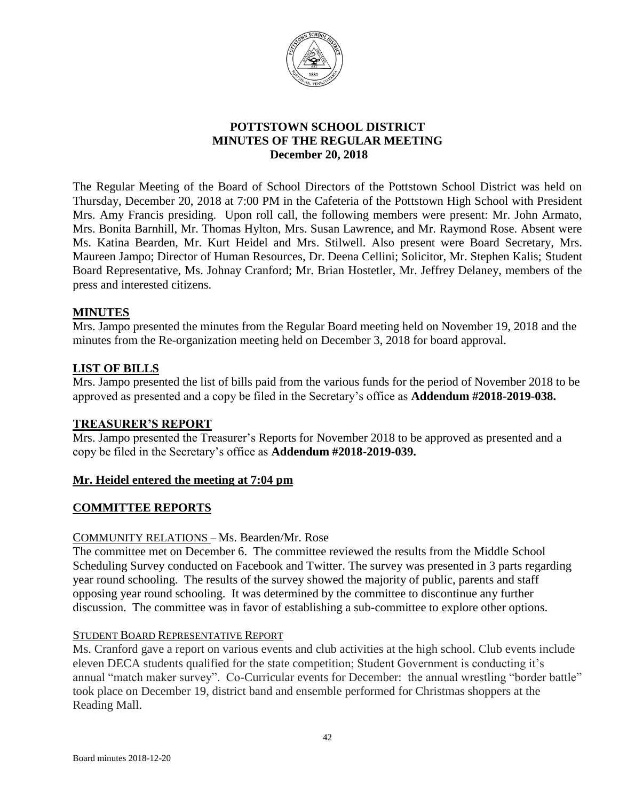

## **POTTSTOWN SCHOOL DISTRICT MINUTES OF THE REGULAR MEETING** **December 20, 2018**

The Regular Meeting of the Board of School Directors of the Pottstown School District was held on Thursday, December 20, 2018 at 7:00 PM in the Cafeteria of the Pottstown High School with President Mrs. Amy Francis presiding. Upon roll call, the following members were present: Mr. John Armato, Mrs. Bonita Barnhill, Mr. Thomas Hylton, Mrs. Susan Lawrence, and Mr. Raymond Rose. Absent were Ms. Katina Bearden, Mr. Kurt Heidel and Mrs. Stilwell. Also present were Board Secretary, Mrs. Maureen Jampo; Director of Human Resources, Dr. Deena Cellini; Solicitor, Mr. Stephen Kalis; Student Board Representative, Ms. Johnay Cranford; Mr. Brian Hostetler, Mr. Jeffrey Delaney, members of the press and interested citizens.

## **MINUTES**

Mrs. Jampo presented the minutes from the Regular Board meeting held on November 19, 2018 and the minutes from the Re-organization meeting held on December 3, 2018 for board approval.

## **LIST OF BILLS**

Mrs. Jampo presented the list of bills paid from the various funds for the period of November 2018 to be approved as presented and a copy be filed in the Secretary's office as **Addendum #2018-2019-038.** 

## **TREASURER'S REPORT**

Mrs. Jampo presented the Treasurer's Reports for November 2018 to be approved as presented and a copy be filed in the Secretary's office as **Addendum #2018-2019-039.**

## **Mr. Heidel entered the meeting at 7:04 pm**

## **COMMITTEE REPORTS**

## COMMUNITY RELATIONS – Ms. Bearden/Mr. Rose

The committee met on December 6. The committee reviewed the results from the Middle School Scheduling Survey conducted on Facebook and Twitter. The survey was presented in 3 parts regarding year round schooling. The results of the survey showed the majority of public, parents and staff opposing year round schooling. It was determined by the committee to discontinue any further discussion. The committee was in favor of establishing a sub-committee to explore other options.

## STUDENT BOARD REPRESENTATIVE REPORT

Ms. Cranford gave a report on various events and club activities at the high school. Club events include eleven DECA students qualified for the state competition; Student Government is conducting it's annual "match maker survey". Co-Curricular events for December: the annual wrestling "border battle" took place on December 19, district band and ensemble performed for Christmas shoppers at the Reading Mall.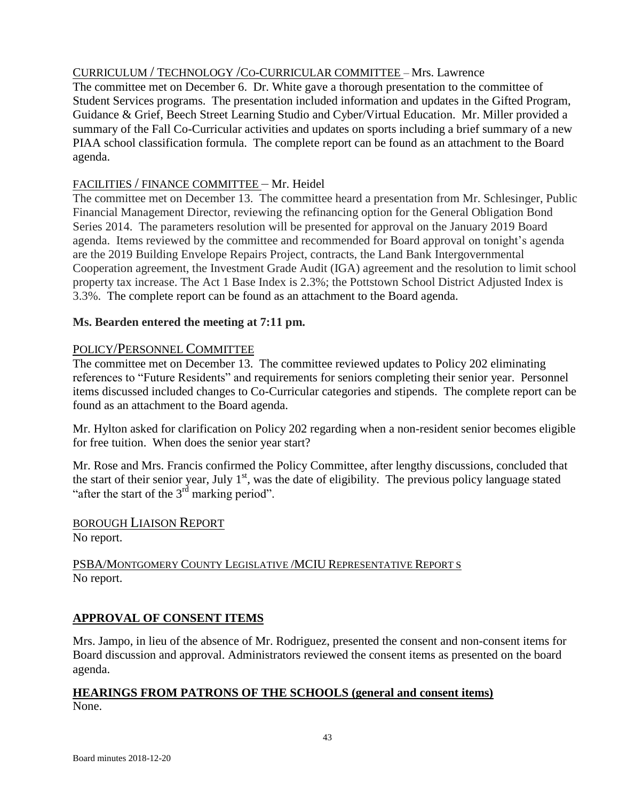# CURRICULUM / TECHNOLOGY /CO-CURRICULAR COMMITTEE – Mrs. Lawrence

The committee met on December 6. Dr. White gave a thorough presentation to the committee of Student Services programs. The presentation included information and updates in the Gifted Program, Guidance & Grief, Beech Street Learning Studio and Cyber/Virtual Education. Mr. Miller provided a summary of the Fall Co-Curricular activities and updates on sports including a brief summary of a new PIAA school classification formula. The complete report can be found as an attachment to the Board agenda.

# FACILITIES / FINANCE COMMITTEE – Mr. Heidel

The committee met on December 13. The committee heard a presentation from Mr. Schlesinger, Public Financial Management Director, reviewing the refinancing option for the General Obligation Bond Series 2014. The parameters resolution will be presented for approval on the January 2019 Board agenda. Items reviewed by the committee and recommended for Board approval on tonight's agenda are the 2019 Building Envelope Repairs Project, contracts, the Land Bank Intergovernmental Cooperation agreement, the Investment Grade Audit (IGA) agreement and the resolution to limit school property tax increase. The Act 1 Base Index is 2.3%; the Pottstown School District Adjusted Index is 3.3%. The complete report can be found as an attachment to the Board agenda.

# **Ms. Bearden entered the meeting at 7:11 pm.**

# POLICY/PERSONNEL COMMITTEE

The committee met on December 13. The committee reviewed updates to Policy 202 eliminating references to "Future Residents" and requirements for seniors completing their senior year. Personnel items discussed included changes to Co-Curricular categories and stipends. The complete report can be found as an attachment to the Board agenda.

Mr. Hylton asked for clarification on Policy 202 regarding when a non-resident senior becomes eligible for free tuition. When does the senior year start?

Mr. Rose and Mrs. Francis confirmed the Policy Committee, after lengthy discussions, concluded that the start of their senior year, July  $1<sup>st</sup>$ , was the date of eligibility. The previous policy language stated "after the start of the  $3<sup>rd</sup>$  marking period".

# BOROUGH LIAISON REPORT

No report.

## PSBA/MONTGOMERY COUNTY LEGISLATIVE /MCIU REPRESENTATIVE REPORT S No report.

## **APPROVAL OF CONSENT ITEMS**

Mrs. Jampo, in lieu of the absence of Mr. Rodriguez, presented the consent and non-consent items for Board discussion and approval. Administrators reviewed the consent items as presented on the board agenda.

# **HEARINGS FROM PATRONS OF THE SCHOOLS (general and consent items)** None.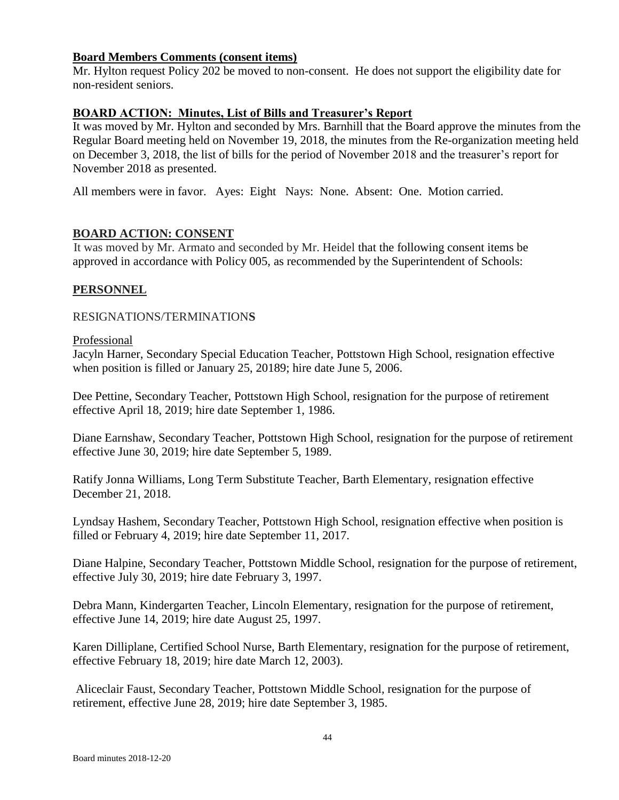## **Board Members Comments (consent items)**

Mr. Hylton request Policy 202 be moved to non-consent. He does not support the eligibility date for non-resident seniors.

## **BOARD ACTION: Minutes, List of Bills and Treasurer's Report**

It was moved by Mr. Hylton and seconded by Mrs. Barnhill that the Board approve the minutes from the Regular Board meeting held on November 19, 2018, the minutes from the Re-organization meeting held on December 3, 2018, the list of bills for the period of November 2018 and the treasurer's report for November 2018 as presented.

All members were in favor. Ayes: Eight Nays: None. Absent: One. Motion carried.

## **BOARD ACTION: CONSENT**

It was moved by Mr. Armato and seconded by Mr. Heidel that the following consent items be approved in accordance with Policy 005, as recommended by the Superintendent of Schools:

## **PERSONNEL**

## RESIGNATIONS/TERMINATION**S**

#### Professional

Jacyln Harner, Secondary Special Education Teacher, Pottstown High School, resignation effective when position is filled or January 25, 20189; hire date June 5, 2006.

Dee Pettine, Secondary Teacher, Pottstown High School, resignation for the purpose of retirement effective April 18, 2019; hire date September 1, 1986.

Diane Earnshaw, Secondary Teacher, Pottstown High School, resignation for the purpose of retirement effective June 30, 2019; hire date September 5, 1989.

Ratify Jonna Williams, Long Term Substitute Teacher, Barth Elementary, resignation effective December 21, 2018.

Lyndsay Hashem, Secondary Teacher, Pottstown High School, resignation effective when position is filled or February 4, 2019; hire date September 11, 2017.

Diane Halpine, Secondary Teacher, Pottstown Middle School, resignation for the purpose of retirement, effective July 30, 2019; hire date February 3, 1997.

Debra Mann, Kindergarten Teacher, Lincoln Elementary, resignation for the purpose of retirement, effective June 14, 2019; hire date August 25, 1997.

Karen Dilliplane, Certified School Nurse, Barth Elementary, resignation for the purpose of retirement, effective February 18, 2019; hire date March 12, 2003).

Aliceclair Faust, Secondary Teacher, Pottstown Middle School, resignation for the purpose of retirement, effective June 28, 2019; hire date September 3, 1985.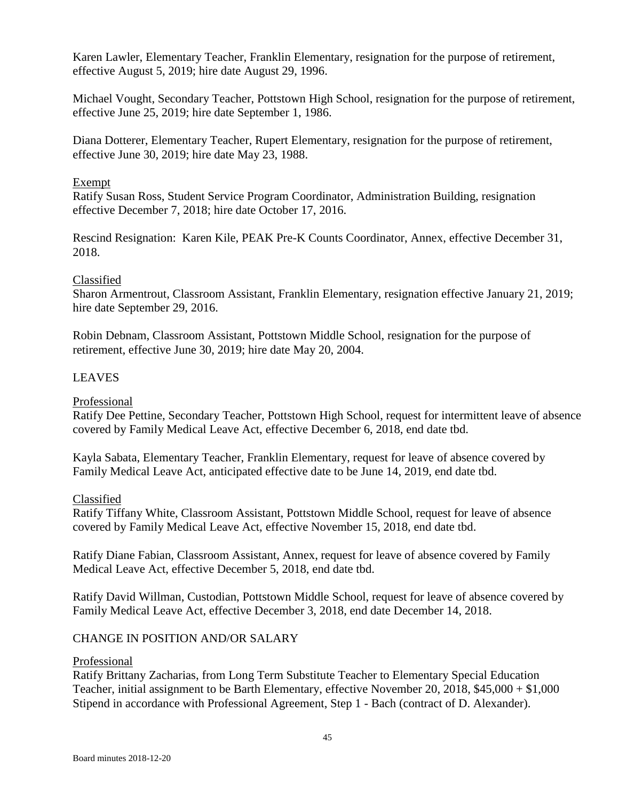Karen Lawler, Elementary Teacher, Franklin Elementary, resignation for the purpose of retirement, effective August 5, 2019; hire date August 29, 1996.

Michael Vought, Secondary Teacher, Pottstown High School, resignation for the purpose of retirement, effective June 25, 2019; hire date September 1, 1986.

Diana Dotterer, Elementary Teacher, Rupert Elementary, resignation for the purpose of retirement, effective June 30, 2019; hire date May 23, 1988.

#### Exempt

Ratify Susan Ross, Student Service Program Coordinator, Administration Building, resignation effective December 7, 2018; hire date October 17, 2016.

Rescind Resignation: Karen Kile, PEAK Pre-K Counts Coordinator, Annex, effective December 31, 2018.

#### Classified

Sharon Armentrout, Classroom Assistant, Franklin Elementary, resignation effective January 21, 2019; hire date September 29, 2016.

Robin Debnam, Classroom Assistant, Pottstown Middle School, resignation for the purpose of retirement, effective June 30, 2019; hire date May 20, 2004.

#### LEAVES

#### Professional

Ratify Dee Pettine, Secondary Teacher, Pottstown High School, request for intermittent leave of absence covered by Family Medical Leave Act, effective December 6, 2018, end date tbd.

Kayla Sabata, Elementary Teacher, Franklin Elementary, request for leave of absence covered by Family Medical Leave Act, anticipated effective date to be June 14, 2019, end date tbd.

#### Classified

Ratify Tiffany White, Classroom Assistant, Pottstown Middle School, request for leave of absence covered by Family Medical Leave Act, effective November 15, 2018, end date tbd.

Ratify Diane Fabian, Classroom Assistant, Annex, request for leave of absence covered by Family Medical Leave Act, effective December 5, 2018, end date tbd.

Ratify David Willman, Custodian, Pottstown Middle School, request for leave of absence covered by Family Medical Leave Act, effective December 3, 2018, end date December 14, 2018.

## CHANGE IN POSITION AND/OR SALARY

#### Professional

Ratify Brittany Zacharias, from Long Term Substitute Teacher to Elementary Special Education Teacher, initial assignment to be Barth Elementary, effective November 20, 2018, \$45,000 + \$1,000 Stipend in accordance with Professional Agreement, Step 1 - Bach (contract of D. Alexander).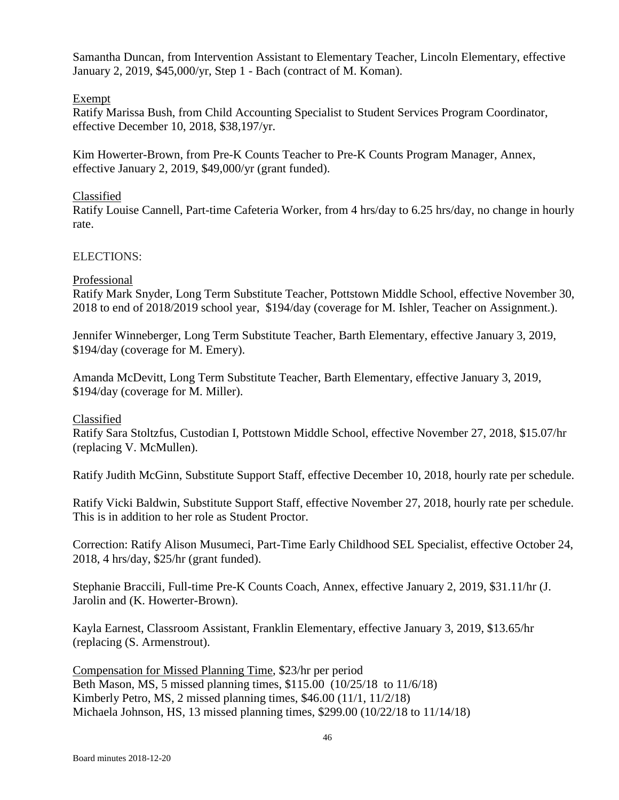Samantha Duncan, from Intervention Assistant to Elementary Teacher, Lincoln Elementary, effective January 2, 2019, \$45,000/yr, Step 1 - Bach (contract of M. Koman).

## Exempt

Ratify Marissa Bush, from Child Accounting Specialist to Student Services Program Coordinator, effective December 10, 2018, \$38,197/yr.

Kim Howerter-Brown, from Pre-K Counts Teacher to Pre-K Counts Program Manager, Annex, effective January 2, 2019, \$49,000/yr (grant funded).

## Classified

Ratify Louise Cannell, Part-time Cafeteria Worker, from 4 hrs/day to 6.25 hrs/day, no change in hourly rate.

## ELECTIONS:

## Professional

Ratify Mark Snyder, Long Term Substitute Teacher, Pottstown Middle School, effective November 30, 2018 to end of 2018/2019 school year, \$194/day (coverage for M. Ishler, Teacher on Assignment.).

Jennifer Winneberger, Long Term Substitute Teacher, Barth Elementary, effective January 3, 2019, \$194/day (coverage for M. Emery).

Amanda McDevitt, Long Term Substitute Teacher, Barth Elementary, effective January 3, 2019, \$194/day (coverage for M. Miller).

## Classified

Ratify Sara Stoltzfus, Custodian I, Pottstown Middle School, effective November 27, 2018, \$15.07/hr (replacing V. McMullen).

Ratify Judith McGinn, Substitute Support Staff, effective December 10, 2018, hourly rate per schedule.

Ratify Vicki Baldwin, Substitute Support Staff, effective November 27, 2018, hourly rate per schedule. This is in addition to her role as Student Proctor.

Correction: Ratify Alison Musumeci, Part-Time Early Childhood SEL Specialist, effective October 24, 2018, 4 hrs/day, \$25/hr (grant funded).

Stephanie Braccili, Full-time Pre-K Counts Coach, Annex, effective January 2, 2019, \$31.11/hr (J. Jarolin and (K. Howerter-Brown).

Kayla Earnest, Classroom Assistant, Franklin Elementary, effective January 3, 2019, \$13.65/hr (replacing (S. Armenstrout).

Compensation for Missed Planning Time, \$23/hr per period Beth Mason, MS, 5 missed planning times, \$115.00 (10/25/18 to 11/6/18) Kimberly Petro, MS, 2 missed planning times, \$46.00 (11/1, 11/2/18) Michaela Johnson, HS, 13 missed planning times, \$299.00 (10/22/18 to 11/14/18)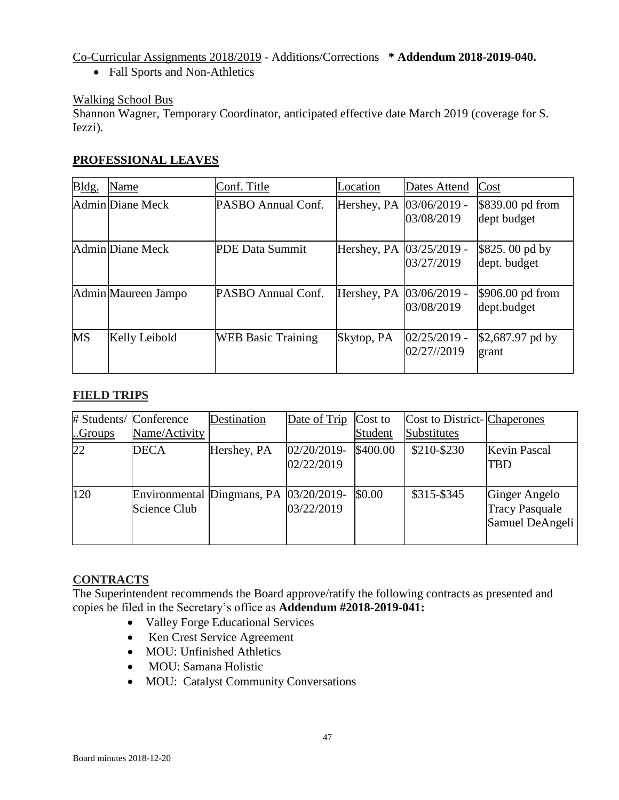Co-Curricular Assignments 2018/2019 - Additions/Corrections **\* Addendum 2018-2019-040.**

• Fall Sports and Non-Athletics

# Walking School Bus

Shannon Wagner, Temporary Coordinator, anticipated effective date March 2019 (coverage for S. Iezzi).

## **PROFESSIONAL LEAVES**

| Bldg.     | Name                | Conf. Title               | Location                  | Dates Attend                  | Cost                             |
|-----------|---------------------|---------------------------|---------------------------|-------------------------------|----------------------------------|
|           | Admin Diane Meck    | PASBO Annual Conf.        | Hershey, PA               | $03/06/2019$ -<br>03/08/2019  | \$839.00 pd from<br>dept budget  |
|           | Admin Diane Meck    | PDE Data Summit           | Hershey, PA  03/25/2019 - | 03/27/2019                    | $$825.00$ pd by<br>dept. budget  |
|           | Admin Maureen Jampo | PASBO Annual Conf.        | Hershey, PA  03/06/2019 - | 03/08/2019                    | $$906.00$ pd from<br>dept.budget |
| <b>MS</b> | Kelly Leibold       | <b>WEB Basic Training</b> | Skytop, PA                | $02/25/2019$ -<br>02/27//2019 | $$2,687.97$ pd by<br>grant       |

## **FIELD TRIPS**

|        | # Students/ Conference                  | Destination | Date of Trip | Cost to  | Cost to District-Chaperones |                       |
|--------|-----------------------------------------|-------------|--------------|----------|-----------------------------|-----------------------|
| Groups | Name/Activity                           |             |              | Student  | Substitutes                 |                       |
| 22     | <b>DECA</b>                             | Hershey, PA | 02/20/2019-  | \$400.00 | \$210-\$230                 | <b>Kevin Pascal</b>   |
|        |                                         |             | 02/22/2019   |          |                             | <b>TBD</b>            |
|        |                                         |             |              |          |                             |                       |
| 120    | Environmental Dingmans, PA  03/20/2019- |             |              | \$0.00   | \$315-\$345                 | <b>Ginger Angelo</b>  |
|        | Science Club                            |             | 03/22/2019   |          |                             | <b>Tracy Pasquale</b> |
|        |                                         |             |              |          |                             | Samuel DeAngeli       |
|        |                                         |             |              |          |                             |                       |

## **CONTRACTS**

The Superintendent recommends the Board approve/ratify the following contracts as presented and copies be filed in the Secretary's office as **Addendum #2018-2019-041:**

- Valley Forge Educational Services
- Ken Crest Service Agreement
- MOU: Unfinished Athletics
- MOU: Samana Holistic
- MOU: Catalyst Community Conversations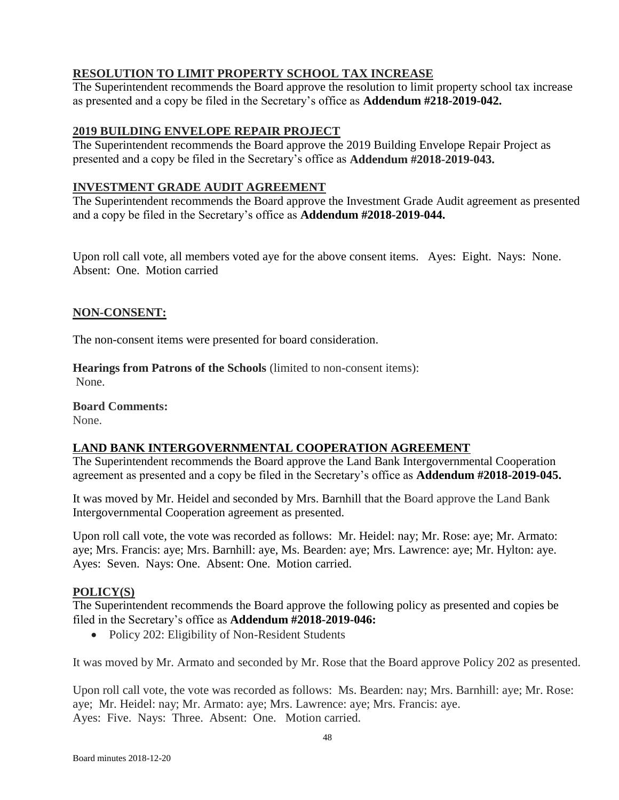# **RESOLUTION TO LIMIT PROPERTY SCHOOL TAX INCREASE**

The Superintendent recommends the Board approve the resolution to limit property school tax increase as presented and a copy be filed in the Secretary's office as **Addendum #218-2019-042.**

## **2019 BUILDING ENVELOPE REPAIR PROJECT**

The Superintendent recommends the Board approve the 2019 Building Envelope Repair Project as presented and a copy be filed in the Secretary's office as **Addendum #2018-2019-043.**

## **INVESTMENT GRADE AUDIT AGREEMENT**

The Superintendent recommends the Board approve the Investment Grade Audit agreement as presented and a copy be filed in the Secretary's office as **Addendum #2018-2019-044.**

Upon roll call vote, all members voted aye for the above consent items. Ayes: Eight. Nays: None. Absent: One. Motion carried

## **NON-CONSENT:**

The non-consent items were presented for board consideration.

**Hearings from Patrons of the Schools** (limited to non-consent items): None.

**Board Comments:**

None.

## **LAND BANK INTERGOVERNMENTAL COOPERATION AGREEMENT**

The Superintendent recommends the Board approve the Land Bank Intergovernmental Cooperation agreement as presented and a copy be filed in the Secretary's office as **Addendum #2018-2019-045.**

It was moved by Mr. Heidel and seconded by Mrs. Barnhill that the Board approve the Land Bank Intergovernmental Cooperation agreement as presented.

Upon roll call vote, the vote was recorded as follows: Mr. Heidel: nay; Mr. Rose: aye; Mr. Armato: aye; Mrs. Francis: aye; Mrs. Barnhill: aye, Ms. Bearden: aye; Mrs. Lawrence: aye; Mr. Hylton: aye. Ayes: Seven. Nays: One. Absent: One. Motion carried.

## **POLICY(S)**

The Superintendent recommends the Board approve the following policy as presented and copies be filed in the Secretary's office as **Addendum #2018-2019-046:**

• Policy 202: Eligibility of Non-Resident Students

It was moved by Mr. Armato and seconded by Mr. Rose that the Board approve Policy 202 as presented.

Upon roll call vote, the vote was recorded as follows: Ms. Bearden: nay; Mrs. Barnhill: aye; Mr. Rose: aye; Mr. Heidel: nay; Mr. Armato: aye; Mrs. Lawrence: aye; Mrs. Francis: aye. Ayes: Five. Nays: Three. Absent: One. Motion carried.